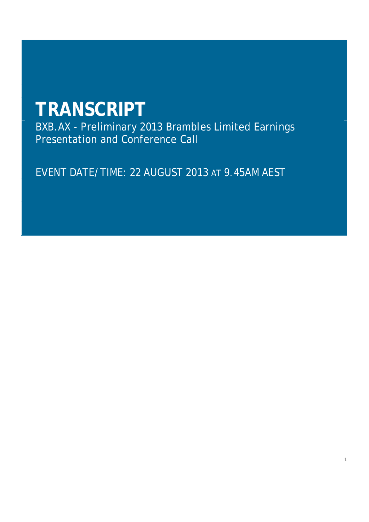# **TRANSCRIPT**

BXB.AX - Preliminary 2013 Brambles Limited Earnings Presentation and Conference Call

EVENT DATE/TIME: 22 AUGUST 2013 AT 9.45AM AEST

1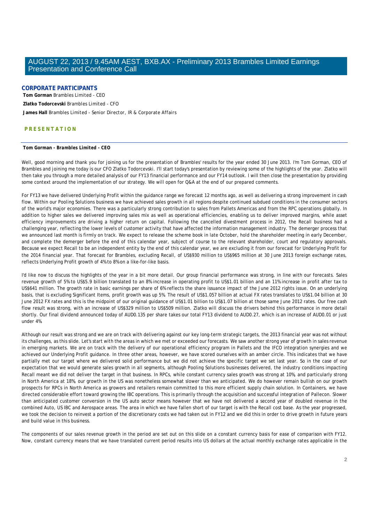# **CORPORATE PARTICIPANTS**

 **Tom Gorman** *Brambles Limited - CEO*   **Zlatko Todorcevski** *Brambles Limited - CFO* 

 **James Hall** *Brambles Limited - Senior Director, IR & Corporate Affairs* 

# **PRESENTATION**

## **Tom Gorman** *- Brambles Limited - CEO*

Well, good morning and thank you for joining us for the presentation of Brambles' results for the year ended 30 June 2013. I'm Tom Gorman, CEO of Brambles and joining me today is our CFO Zlatko Todorcevski. I'll start today's presentation by reviewing some of the highlights of the year. Zlatko will then take you through a more detailed analysis of our FY13 financial performance and our FY14 outlook. I will then close the presentation by providing some context around the implementation of our strategy. We will open for Q&A at the end of our prepared comments.

For FY13 we have delivered Underlying Profit within the guidance range we forecast 12 months ago, as well as delivering a strong improvement in cash flow. Within our Pooling Solutions business we have achieved sales growth in all regions despite continued subdued conditions in the consumer sectors of the world's major economies. There was a particularly strong contribution to sales from Pallets Americas and from the RPC operations globally. In addition to higher sales we delivered improving sales mix as well as operational efficiencies, enabling us to deliver improved margins, while asset efficiency improvements are driving a higher return on capital. Following the cancelled divestment process in 2012, the Recall business had a challenging year, reflecting the lower levels of customer activity that have affected the information management industry. The demerger process that we announced last month is firmly on track. We expect to release the scheme book in late October, hold the shareholder meeting in early December, and complete the demerger before the end of this calendar year, subject of course to the relevant shareholder, court and regulatory approvals. Because we expect Recall to be an independent entity by the end of this calendar year, we are excluding it from our forecast for Underlying Profit for the 2014 financial year. That forecast for Brambles, excluding Recall, of US\$930 million to US\$965 million at 30 June 2013 foreign exchange rates, reflects Underlying Profit growth of 4% to 8% on a like-for-like basis.

I'd like now to discuss the highlights of the year in a bit more detail. Our group financial performance was strong, in line with our forecasts. Sales revenue growth of 5% to US\$5.9 billion translated to an 8% increase in operating profit to US\$1.01 billion and an 11% increase in profit after tax to US\$641 million. The growth rate in basic earnings per share of 6% reflects the share issuance impact of the June 2012 rights issue. On an underlying basis, that is excluding Significant Items, profit growth was up 5%. The result of US\$1.057 billion at actual FX rates translates to US\$1.04 billion at 30 June 2012 FX rates and this is the midpoint of our original guidance of US\$1.01 billion to US\$1.07 billion at those same June 2012 rates. Our free cash flow result was strong, with an increase of US\$329 million to US\$509 million. Zlatko will discuss the drivers behind this performance in more detail shortly. Our final dividend announced today of AUD0.135 per share takes our total FY13 dividend to AUD0.27, which is an increase of AUD0.01 or just under 4%.

Although our result was strong and we are on track with delivering against our key long-term strategic targets, the 2013 financial year was not without its challenges, as this slide. Let's start with the areas in which we met or exceeded our forecasts. We saw another strong year of growth in sales revenue in emerging markets. We are on track with the delivery of our operational efficiency program in Pallets and the IFCO integration synergies and we achieved our Underlying Profit guidance. In three other areas, however, we have scored ourselves with an amber circle. This indicates that we have partially met our target where we delivered solid performance but we did not achieve the specific target we set last year. So in the case of our expectation that we would generate sales growth in all segments, although Pooling Solutions businesses delivered, the industry conditions impacting Recall meant we did not deliver the target in that business. In RPCs, while constant currency sales growth was strong at 10%, and particularly strong in North America at 18%, our growth in the US was nonetheless somewhat slower than we anticipated. We do however remain bullish on our growth prospects for RPCs in North America as growers and retailers remain committed to this more efficient supply chain solution. In Containers, we have directed considerable effort toward growing the IBC operations. This is primarily through the acquisition and successful integration of Pallecon. Slower than anticipated customer conversion in the US auto sector means however that we have not delivered a second year of doubled revenue in the combined Auto, US IBC and Aerospace areas. The area in which we have fallen short of our target is with the Recall cost base. As the year progressed, we took the decision to reinvest a portion of the discretionary costs we had taken out in FY12 and we did this in order to drive growth in future years and build value in this business.

The components of our sales revenue growth in the period are set out on this slide on a constant currency basis for ease of comparison with FY12. Now, constant currency means that we have translated current period results into US dollars at the actual monthly exchange rates applicable in the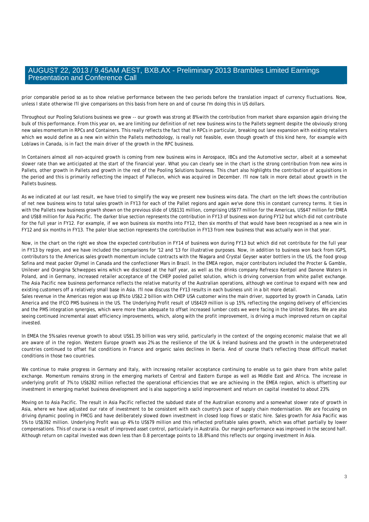prior comparable period so as to show relative performance between the two periods before the translation impact of currency fluctuations. Now, unless I state otherwise I'll give comparisons on this basis from here on and of course I'm doing this in US dollars.

Throughout our Pooling Solutions business we grew -- our growth was strong at 8% with the contribution from market share expansion again driving the bulk of this performance. From this year on, we are limiting our definition of net new business wins to the Pallets segment despite the obviously strong new sales momentum in RPCs and Containers. This really reflects the fact that in RPCs in particular, breaking out lane expansion with existing retailers which we would define as a new win within the Pallets methodology, is really not feasible, even though growth of this kind here, for example with Loblaws in Canada, is in fact the main driver of the growth in the RPC business.

In Containers almost all non-acquired growth is coming from new business wins in Aerospace, IBCs and the Automotive sector, albeit at a somewhat slower rate than we anticipated at the start of the financial year. What you can clearly see in the chart is the strong contribution from new wins in Pallets, other growth in Pallets and growth in the rest of the Pooling Solutions business. This chart also highlights the contribution of acquisitions in the period and this is primarily reflecting the impact of Pallecon, which was acquired in December. I'll now talk in more detail about growth in the Pallets business.

As we indicated at our last result, we have tried to simplify the way we present new business wins data. The chart on the left shows the contribution of net new business wins to total sales growth in FY13 for each of the Pallet regions and again we've done this in constant currency terms. It ties in with the Pallets new business growth shown on the previous slide of US\$131 million, comprising US\$77 million for the Americas, US\$47 million for EMEA and US\$8 million for Asia Pacific. The darker blue section represents the contribution in FY13 of business won during FY12 but which did not contribute for the full year in FY12. For example, if we won business six months into FY12, then six months of that would have been recognised as a new win in FY12 and six months in FY13. The paler blue section represents the contribution in FY13 from new business that was actually won in that year.

Now, in the chart on the right we show the expected contribution in FY14 of business won during FY13 but which did not contribute for the full year in FY13 by region, and we have included the comparisons for '12 and '13 for illustrative purposes. Now, in addition to business won back from IGPS, contributors to the Americas sales growth momentum include contracts with the Niagara and Crystal Geyser water bottlers in the US, the food group Sofina and meat packer Olymel in Canada and the confectioner Mars in Brazil. In the EMEA region, major contributors included the Procter & Gamble, Unilever and Orangina Schweppes wins which we disclosed at the half year, as well as the drinks company Refresco Kentpol and Danone Waters in Poland, and in Germany, increased retailer acceptance of the CHEP pooled pallet solution, which is driving conversion from white pallet exchange. The Asia Pacific new business performance reflects the relative maturity of the Australian operations, although we continue to expand with new and existing customers off a relatively small base in Asia. I'll now discuss the FY13 results in each business unit in a bit more detail. Sales revenue in the Americas region was up 8% to US\$2.2 billion with CHEP USA customer wins the main driver, supported by growth in Canada, Latin

America and the IFCO PMS business in the US. The Underlying Profit result of US\$419 million is up 15%, reflecting the ongoing delivery of efficiencies and the PMS integration synergies, which were more than adequate to offset increased lumber costs we were facing in the United States. We are also seeing continued incremental asset efficiency improvements, which, along with the profit improvement, is driving a much improved return on capital invested.

In EMEA the 5% sales revenue growth to about US\$1.35 billion was very solid, particularly in the context of the ongoing economic malaise that we all are aware of in the region. Western Europe growth was 2% as the resilience of the UK & Ireland business and the growth in the underpenetrated countries continued to offset flat conditions in France and organic sales declines in Iberia. And of course that's reflecting those difficult market conditions in those two countries.

We continue to make progress in Germany and Italy, with increasing retailer acceptance continuing to enable us to gain share from white pallet exchange. Momentum remains strong in the emerging markets of Central and Eastern Europe as well as Middle East and Africa. The increase in underlying profit of 7% to US\$282 million reflected the operational efficiencies that we are achieving in the EMEA region, which is offsetting our investment in emerging market business development and is also supporting a solid improvement and return on capital invested to about 23%.

Moving on to Asia Pacific. The result in Asia Pacific reflected the subdued state of the Australian economy and a somewhat slower rate of growth in Asia, where we have adjusted our rate of investment to be consistent with each country's pace of supply chain modernisation. We are focusing on driving dynamic pooling in FMCG and have deliberately slowed down investment in closed loop flows or static hire. Sales growth for Asia Pacific was 5% to US\$392 million. Underlying Profit was up 4% to US\$79 million and this reflected profitable sales growth, which was offset partially by lower compensations. This of course is a result of improved asset control, particularly in Australia. Our margin performance was improved in the second half. Although return on capital invested was down less than 0.8 percentage points to 18.8% and this reflects our ongoing investment in Asia.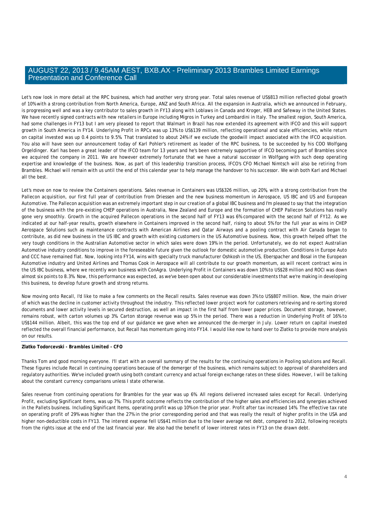Let's now look in more detail at the RPC business, which had another very strong year. Total sales revenue of US\$813 million reflected global growth of 10% with a strong contribution from North America, Europe, ANZ and South Africa. All the expansion in Australia, which we announced in February, is progressing well and was a key contributor to sales growth in FY13 along with Loblaws in Canada and Kroger, HEB and Safeway in the United States. We have recently signed contracts with new retailers in Europe including Migros in Turkey and Lombardini in Italy. The smallest region, South America, had some challenges in FY13 but I am very pleased to report that Walmart in Brazil has now extended its agreement with IFCO and this will support growth in South America in FY14. Underlying Profit in RPCs was up 13% to US\$139 million, reflecting operational and scale efficiencies, while return on capital invested was up 0.4 points to 9.5%. That translated to about 24% if we exclude the goodwill impact associated with the IFCO acquisition. You also will have seen our announcement today of Karl Pohler's retirement as leader of the RPC business, to be succeeded by his COO Wolfgang Orgeldinger. Karl has been a great leader of the IFCO team for 13 years and he's been extremely supportive of IFCO becoming part of Brambles since we acquired the company in 2011. We are however extremely fortunate that we have a natural successor in Wolfgang with such deep operating expertise and knowledge of the business. Now, as part of this leadership transition process, IFCO's CFO Michael Nimtsch will also be retiring from Brambles. Michael will remain with us until the end of this calendar year to help manage the handover to his successor. We wish both Karl and Michael all the best.

Let's move on now to review the Containers operations. Sales revenue in Containers was US\$326 million, up 20%, with a strong contribution from the Pallecon acquisition, our first full year of contribution from Driessen and the new business momentum in Aerospace, US IBC and US and European Automotive. The Pallecon acquisition was an extremely important step in our creation of a global IBC business and I'm pleased to say that the integration of the business with the pre-existing CHEP operations in Australia, New Zealand and Europe and the formation of CHEP Pallecon Solutions has really gone very smoothly. Growth in the acquired Pallecon operations in the second half of FY13 was 6% compared with the second half of FY12. As we indicated at our half-year results, growth elsewhere in Containers improved in the second half, rising to about 5% for the full year as wins in CHEP Aerospace Solutions such as maintenance contracts with American Airlines and Qatar Airways and a pooling contract with Air Canada began to contribute, as did new business in the US IBC and growth with existing customers in the US Automotive business. Now, this growth helped offset the very tough conditions in the Australian Automotive sector in which sales were down 19% in the period. Unfortunately, we do not expect Australian Automotive industry conditions to improve in the foreseeable future given the outlook for domestic automotive production. Conditions in Europe Auto and CCC have remained flat. Now, looking into FY14, wins with specialty truck manufacturer Oshkosh in the US, Eberspacher and Bosal in the European Automotive industry and United Airlines and Thomas Cook in Aerospace will all contribute to our growth momentum, as will recent contract wins in the US IBC business, where we recently won business with ConAgra. Underlying Profit in Containers was down 10% to US\$28 million and ROCI was down almost six points to 8.3%. Now, this performance was expected, as we've been open about our considerable investments that we're making in developing this business, to develop future growth and strong returns.

Now moving onto Recall, I'd like to make a few comments on the Recall results. Sales revenue was down 3% to US\$807 million. Now, the main driver of which was the decline in customer activity throughout the industry. This reflected lower project work for customers retrieving and re-sorting stored documents and lower activity levels in secured destruction, as well an impact in the first half from lower paper prices. Document storage, however, remains robust, with carton volumes up 3%. Carton storage revenue was up 5% in the period. There was a reduction in Underlying Profit of 16% to US\$144 million. Albeit, this was the top end of our guidance we gave when we announced the de-merger in July. Lower return on capital invested reflected the overall financial performance, but Recall has momentum going into FY14. I would like now to hand over to Zlatko to provide more analysis on our results.

# **Zlatko Todorcevski** *- Brambles Limited - CFO*

Thanks Tom and good morning everyone. I'll start with an overall summary of the results for the continuing operations in Pooling solutions and Recall. These figures include Recall in continuing operations because of the demerger of the business, which remains subject to approval of shareholders and regulatory authorities. We've included growth using both constant currency and actual foreign exchange rates on these slides. However, I will be talking about the constant currency comparisons unless I state otherwise.

Sales revenue from continuing operations for Brambles for the year was up 6%. All regions delivered increased sales except for Recall. Underlying Profit, excluding Significant Items, was up 7%. This profit outcome reflects the contribution of the higher sales and efficiencies and synergies achieved in the Pallets business. Including Significant Items, operating profit was up 10% on the prior year. Profit after tax increased 14%. The effective tax rate on operating profit of 29% was higher than the 27% in the prior corresponding period and that was really the result of higher profits in the USA and higher non-deductible costs in FY13. The interest expense fell US\$41 million due to the lower average net debt, compared to 2012, following receipts from the rights issue at the end of the last financial year. We also had the benefit of lower interest rates in FY13 on the drawn debt.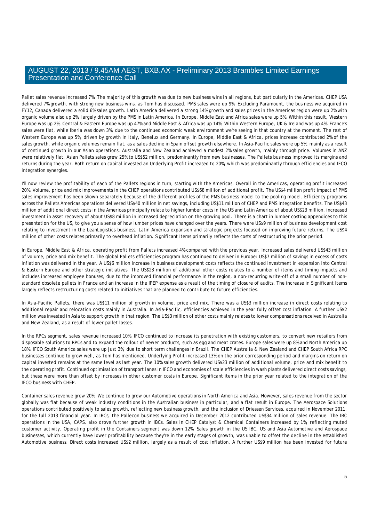Pallet sales revenue increased 7%. The majority of this growth was due to new business wins in all regions, but particularly in the Americas. CHEP USA delivered 7% growth, with strong new business wins, as Tom has discussed. PMS sales were up 9%. Excluding Paramount, the business we acquired in FY12, Canada delivered a solid 6% sales growth. Latin America delivered a strong 14% growth and sales prices in the Americas region were up 2% with organic volume also up 2%, largely driven by the PMS in Latin America. In Europe, Middle East and Africa sales were up 5%. Within this result, Western Europe was up 2%, Central & Eastern Europe was up 47% and Middle East & Africa was up 14%. Within Western Europe, UK & Ireland was up 4%. France's sales were flat, while Iberia was down 3%, due to the continued economic weak environment we're seeing in that country at the moment. The rest of Western Europe was up 5%, driven by growth in Italy, Benelux and Germany. In Europe, Middle East & Africa, prices increase contributed 2% of the sales growth, while organic volumes remain flat, as a sales decline in Spain offset growth elsewhere. In Asia-Pacific sales were up 5%, mainly as a result of continued growth in our Asian operations. Australia and New Zealand achieved a modest 2% sales growth, mainly through price. Volumes in ANZ were relatively flat. Asian Pallets sales grew 25% to US\$52 million, predominantly from new businesses. The Pallets business improved its margins and returns during the year. Both return on capital invested an Underlying Profit increased to 20%, which was predominantly through efficiencies and IFCO integration synergies.

I'll now review the profitability of each of the Pallets regions in turn, starting with the Americas. Overall in the Americas, operating profit increased 20%. Volume, price and mix improvements in the CHEP operations contributed US\$68 million of additional profit. The US\$4 million profit impact of PMS sales improvement has been shown separately because of the different profiles of the PMS business model to the pooling model. Efficiency programs across the Pallets Americas operations delivered US\$40 million in net savings, including US\$11 million of CHEP and PMS integration benefits. The US\$43 million of additional direct costs in the Americas principally relate to higher lumber costs in the US and Latin America of about US\$23 million, increased investment in asset recovery of about US\$8 million in increased depreciation on the growing pool. There is a chart in lumber costing appendices to this presentation for the US, to give you a sense of how lumber prices have changed over the years. There were US\$9 million of business development cost relating to investment in the LeanLogistics business, Latin America expansion and strategic projects focused on improving future returns. The US\$4 million of other costs relates primarily to overhead inflation. Significant Items primarily reflects the costs of restructuring the prior period.

In Europe, Middle East & Africa, operating profit from Pallets increased 4% compared with the previous year. Increased sales delivered US\$43 million of volume, price and mix benefit. The global Pallets efficiencies program has continued to deliver in Europe: US\$7 million of savings in excess of costs inflation was delivered in the year. A US\$6 million increase in business development costs reflects the continued investment in expansion into Central & Eastern Europe and other strategic initiatives. The US\$23 million of additional other costs relates to a number of items and timing impacts and includes increased employee bonuses, due to the improved financial performance in the region, a non-recurring write-off of a small number of nonstandard obsolete pallets in France and an increase in the IPEP expense as a result of the timing of closure of audits. The increase in Significant Items largely reflects restructuring costs related to initiatives that are planned to contribute to future efficiencies.

In Asia-Pacific Pallets, there was US\$11 million of growth in volume, price and mix. There was a US\$3 million increase in direct costs relating to additional repair and relocation costs mainly in Australia. In Asia-Pacific, efficiencies achieved in the year fully offset cost inflation. A further US\$2 million was invested in Asia to support growth in that region. The US\$3 million of other costs mainly relates to lower compensations received in Australia and New Zealand, as a result of lower pallet losses.

In the RPCs segment, sales revenue increased 10%. IFCO continued to increase its penetration with existing customers, to convert new retailers from disposable solutions to RPCs and to expand the rollout of newer products, such as egg and meat crates. Europe sales were up 8% and North America up 18%. IFCO South America sales were up just 3%, due to short term challenges in Brazil. The CHEP Australia & New Zealand and CHEP South Africa RPC businesses continue to grow well, as Tom has mentioned. Underlying Profit increased 13% on the prior corresponding period and margins on return on capital invested remains at the same level as last year. The 10% sales growth delivered US\$23 million of additional volume, price and mix benefit to the operating profit. Continued optimisation of transport lanes in IFCO and economies of scale efficiencies in wash plants delivered direct costs savings, but these were more than offset by increases in other customer costs in Europe. Significant items in the prior year related to the integration of the IFCO business with CHEP.

Container sales revenue grew 20%. We continue to grow our Automotive operations in North America and Asia. However, sales revenue from the sector globally was flat because of weak industry conditions in the Australian business in particular, and a flat result in Europe. The Aerospace Solutions operations contributed positively to sales growth, reflecting new business growth, and the inclusion of Driessen Services, acquired in November 2011, for the full 2013 financial year. In IBCs, the Pallecon business we acquired in December 2012 contributed US\$34 million of sales revenue. The IBC operations in the USA, CAPS, also drove further growth in IBCs. Sales in CHEP Catalyst & Chemical Containers increased by 1%, reflecting muted customer activity. Operating profit in the Containers segment was down 12%. Sales growth in the US IBC, US and Asia Automotive and Aerospace businesses, which currently have lower profitability because they're in the early stages of growth, was unable to offset the decline in the established Automotive business. Direct costs increased US\$2 million, largely as a result of cost inflation. A further US\$9 million has been invested for future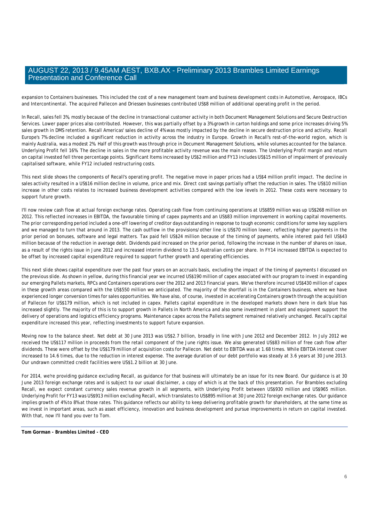expansion to Containers businesses. This included the cost of a new management team and business development costs in Automotive, Aerospace, IBCs and Intercontinental. The acquired Pallecon and Driessen businesses contributed US\$8 million of additional operating profit in the period.

In Recall, sales fell 3%, mostly because of the decline in transactional customer activity in both Document Management Solutions and Secure Destruction Services. Lower paper prices also contributed. However, this was partially offset by a 3% growth in carton holdings and some price increases driving 5% sales growth in DMS retention. Recall Americas' sales decline of 4% was mostly impacted by the decline in secure destruction price and activity. Recall Europe's 7% decline included a significant reduction in activity across the industry in Europe. Growth in Recall's rest-of-the-world region, which is mainly Australia, was a modest 2%. Half of this growth was through price in Document Management Solutions, while volumes accounted for the balance. Underlying Profit fell 16%. The decline in sales in the more profitable activity revenue was the main reason. The Underlying Profit margin and return on capital invested fell three percentage points. Significant Items increased by US\$2 million and FY13 includes US\$15 million of impairment of previously capitalised software, while FY12 included restructuring costs.

This next slide shows the components of Recall's operating profit. The negative move in paper prices had a US\$4 million profit impact. The decline in sales activity resulted in a US\$16 million decline in volume, price and mix. Direct cost savings partially offset the reduction in sales. The US\$10 million increase in other costs relates to increased business development activities compared with the low levels in 2012. These costs were necessary to support future growth.

I'll now review cash flow at actual foreign exchange rates. Operating cash flow from continuing operations at US\$859 million was up US\$268 million on 2012. This reflected increases in EBITDA, the favourable timing of capex payments and an US\$83 million improvement in working capital movements. The prior corresponding period included a one-off lowering of creditor days outstanding in response to tough economic conditions for some key suppliers and we managed to turn that around in 2013. The cash outflow in the provisions/other line is US\$70 million lower, reflecting higher payments in the prior period on bonuses, software and legal matters. Tax paid fell US\$24 million because of the timing of payments, while interest paid fell US\$43 million because of the reduction in average debt. Dividends paid increased on the prior period, following the increase in the number of shares on issue, as a result of the rights issue in June 2012 and increased interim dividend to 13.5 Australian cents per share. In FY14 increased EBITDA is expected to be offset by increased capital expenditure required to support further growth and operating efficiencies.

This next slide shows capital expenditure over the past four years on an accruals basis, excluding the impact of the timing of payments I discussed on the previous slide. As shown in yellow, during this financial year we incurred US\$190 million of capex associated with our program to invest in expanding our emerging Pallets markets, RPCs and Containers operations over the 2012 and 2013 financial years. We've therefore incurred US\$430 million of capex in these growth areas compared with the US\$550 million we anticipated. The majority of the shortfall is in the Containers business, where we have experienced longer conversion times for sales opportunities. We have also, of course, invested in accelerating Containers growth through the acquisition of Pallecon for US\$179 million, which is not included in capex. Pallets capital expenditure in the developed markets shown here in dark blue has increased slightly. The majority of this is to support growth in Pallets in North America and also some investment in plant and equipment support the delivery of operations and logistics efficiency programs. Maintenance capex across the Pallets segment remained relatively unchanged. Recall's capital expenditure increased this year, reflecting investments to support future expansion.

Moving now to the balance sheet. Net debt at 30 June 2013 was US\$2.7 billion, broadly in line with June 2012 and December 2012. In July 2012 we received the US\$117 million in proceeds from the retail component of the June rights issue. We also generated US\$83 million of free cash flow after dividends. These were offset by the US\$179 million of acquisition costs for Pallecon. Net debt to EBITDA was at 1.68 times. While EBITDA interest cover increased to 14.6 times, due to the reduction in interest expense. The average duration of our debt portfolio was steady at 3.6 years at 30 June 2013. Our undrawn committed credit facilities were US\$1.2 billion at 30 June.

For 2014, we're providing quidance excluding Recall, as quidance for that business will ultimately be an issue for its new Board. Our quidance is at 30 June 2013 foreign exchange rates and is subject to our usual disclaimer, a copy of which is at the back of this presentation. For Brambles excluding Recall, we expect constant currency sales revenue growth in all segments, with Underlying Profit between US\$930 million and US\$965 million. Underlying Profit for FY13 was US\$913 million excluding Recall, which translates to US\$895 million at 30 June 2012 foreign exchange rates. Our guidance implies growth of 4% to 8% at those rates. This guidance reflects our ability to keep delivering profitable growth for shareholders, at the same time as we invest in important areas, such as asset efficiency, innovation and business development and pursue improvements in return on capital invested. With that, now I'll hand you over to Tom.

**Tom Gorman** *- Brambles Limited - CEO*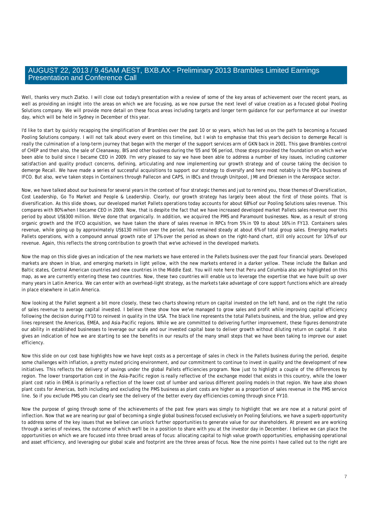Well, thanks very much Zlatko. I will close out today's presentation with a review of some of the key areas of achievement over the recent years, as well as providing an insight into the areas on which we are focusing, as we now pursue the next level of value creation as a focused global Pooling Solutions company. We will provide more detail on these focus areas including targets and longer term guidance for our performance at our investor day, which will be held in Sydney in December of this year.

I'd like to start by quickly recapping the simplification of Brambles over the past 10 or so years, which has led us on the path to becoming a focused Pooling Solutions company. I will not talk about every event on this timeline, but I wish to emphasise that this year's decision to demerge Recall is really the culmination of a long-term journey that began with the merger of the support services arm of GKN back in 2001. This gave Brambles control of CHEP and then also, the sale of Cleanaway, BIS and other business during the '05 and '06 period, those steps provided the foundation on which we've been able to build since I became CEO in 2009. I'm very pleased to say we have been able to address a number of key issues, including customer satisfaction and quality product concerns, defining, articulating and now implementing our growth strategy and of course taking the decision to demerge Recall. We have made a series of successful acquisitions to support our strategy to diversify and here most notably is the RPCs business of IFCO. But also, we've taken steps in Containers through Pallecon and CAPS, in IBCs and through Unitpool, JMI and Driessen in the Aerospace sector.

Now, we have talked about our business for several years in the context of four strategic themes and just to remind you, those themes of Diversification, Cost Leadership, Go To Market and People & Leadership. Clearly, our growth strategy has largely been about the first of those points. That is diversification. As this slide shows, our developed market Pallets operations today accounts for about 68% of our Pooling Solutions sales revenue. This compares with 80% when I became CEO in 2009. Now, that is despite the fact that we have increased developed market Pallets sales revenue over this period by about US\$300 million. We've done that organically. In addition, we acquired the PMS and Paramount businesses. Now, as a result of strong organic growth and the IFCO acquisition, we have taken the share of sales revenue in RPCs from 5% in '09 to about 16% in FY13. Containers sales revenue, while going up by approximately US\$130 million over the period, has remained steady at about 6% of total group sales. Emerging markets Pallets operations, with a compound annual growth rate of 17% over the period as shown on the right-hand chart, still only account for 10% of our revenue. Again, this reflects the strong contribution to growth that we've achieved in the developed markets.

Now the map on this slide gives an indication of the new markets we have entered in the Pallets business over the past four financial years. Developed markets are shown in blue, and emerging markets in light yellow, with the new markets entered in a darker yellow. These include the Balkan and Baltic states, Central American countries and new countries in the Middle East. You will note here that Peru and Columbia also are highlighted on this map, as we are currently entering these two countries. Now, these two countries will enable us to leverage the expertise that we have built up over many years in Latin America. We can enter with an overhead-light strategy, as the markets take advantage of core support functions which are already in place elsewhere in Latin America.

Now looking at the Pallet segment a bit more closely, these two charts showing return on capital invested on the left hand, and on the right the ratio of sales revenue to average capital invested. I believe these show how we've managed to grow sales and profit while improving capital efficiency following the decision during FY10 to reinvest in quality in the USA. The black line represents the total Pallets business, and the blue, yellow and grey lines represent the Americas, EMEA, and Asia-Pacific regions. While we are committed to delivering further improvement, these figures demonstrate our ability in established businesses to leverage our scale and our invested capital base to deliver growth without diluting return on capital. It also gives an indication of how we are starting to see the benefits in our results of the many small steps that we have been taking to improve our asset efficiency.

Now this slide on our cost base highlights how we have kept costs as a percentage of sales in check in the Pallets business during the period, despite some challenges with inflation, a pretty muted pricing environment, and our commitment to continue to invest in quality and the development of new initiatives. This reflects the delivery of savings under the global Pallets efficiencies program. Now just to highlight a couple of the differences by region. The lower transportation cost in the Asia-Pacific region is really reflective of the exchange model that exists in this country, while the lower plant cost ratio in EMEA is primarily a reflection of the lower cost of lumber and various different pooling models in that region. We have also shown plant costs for Americas, both including and excluding the PMS business as plant costs are higher as a proportion of sales revenue in the PMS service line. So if you exclude PMS you can clearly see the delivery of the better every day efficiencies coming through since FY10.

Now the purpose of going through some of the achievements of the past few years was simply to highlight that we are now at a natural point of inflection. Now that we are nearing our goal of becoming a single global business focused exclusively on Pooling Solutions, we have a superb opportunity to address some of the key issues that we believe can unlock further opportunities to generate value for our shareholders. At present we are working through a series of reviews, the outcome of which we'll be in a position to share with you at the investor day in December. I believe we can place the opportunities on which we are focused into three broad areas of focus: allocating capital to high value growth opportunities, emphasising operational and asset efficiency, and leveraging our global scale and footprint are the three areas of focus. Now the nine points I have called out to the right are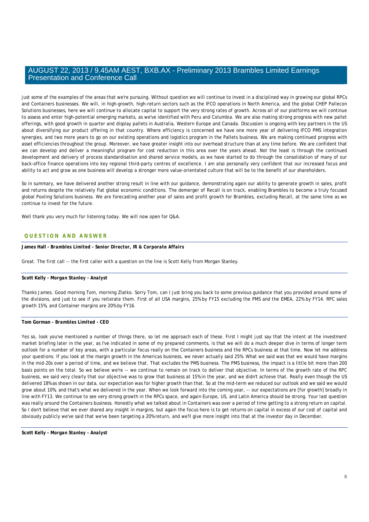just some of the examples of the areas that we're pursuing. Without question we will continue to invest in a disciplined way in growing our global RPCs and Containers businesses. We will, in high-growth, high-return sectors such as the IFCO operations in North America, and the global CHEP Pallecon Solutions businesses, here we will continue to allocate capital to support the very strong rates of growth. Across all of our platforms we will continue to assess and enter high-potential emerging markets, as we've identified with Peru and Columbia. We are also making strong progress with new pallet offerings, with good growth in quarter and display pallets in Australia, Western Europe and Canada. Discussion is ongoing with key partners in the US about diversifying our product offering in that country. Where efficiency is concerned we have one more year of delivering IFCO PMS integration synergies, and two more years to go on our existing operations and logistics program in the Pallets business. We are making continued progress with asset efficiencies throughout the group. Moreover, we have greater insight into our overhead structure than at any time before. We are confident that we can develop and deliver a meaningful program for cost reduction in this area over the years ahead. Not the least is through the continued development and delivery of process standardisation and shared service models, as we have started to do through the consolidation of many of our back-office finance operations into key regional third-party centres of excellence. I am also personally very confident that our increased focus and ability to act and grow as one business will develop a stronger more value-orientated culture that will be to the benefit of our shareholders.

So in summary, we have delivered another strong result in line with our guidance, demonstrating again our ability to generate growth in sales, profit and returns despite the relatively flat global economic conditions. The demerger of Recall is on track, enabling Brambles to become a truly focused global Pooling Solutions business. We are forecasting another year of sales and profit growth for Brambles, excluding Recall, at the same time as we continue to invest for the future.

Well thank you very much for listening today. We will now open for Q&A.

# **QUESTION AND ANSWER**

**James Hall** *- Brambles Limited - Senior Director, IR & Corporate Affairs* 

Great. The first call -- the first caller with a question on the line is Scott Kelly from Morgan Stanley.

# **Scott Kelly** *- Morgan Stanley - Analyst*

Thanks James. Good morning Tom, morning Zlatko. Sorry Tom, can I just bring you back to some previous guidance that you provided around some of the divisions, and just to see if you reiterate them. First of all USA margins, 25% by FY15 excluding the PMS and the EMEA, 22% by FY14. RPC sales growth 15%, and Container margins are 20% by FY16.

# **Tom Gorman** *- Brambles Limited - CEO*

Yes so, look you've mentioned a number of things there, so let me approach each of these. First I might just say that the intent at the investment market briefing later in the year, as I've indicated in some of my prepared comments, is that we will do a much deeper dive in terms of longer term outlook for a number of key areas, with a particular focus really on the Containers business and the RPCs business at that time. Now let me address your questions. If you look at the margin growth in the Americas business, we never actually said 25%. What we said was that we would have margins in the mid-20s over a period of time, and we believe that. That excludes the PMS business. The PMS business, the impact is a little bit more than 200 basis points on the total. So we believe we're -- we continue to remain on track to deliver that objective. In terms of the growth rate of the RPC business, we said very clearly that our objective was to grow that business at 15% in the year, and we didn't achieve that. Really even though the US delivered 18% as shown in our data, our expectation was for higher growth than that. So at the mid-term we reduced our outlook and we said we would grow about 10%, and that's what we delivered in the year. When we look forward into the coming year, -- our expectations are [for growth] broadly in line with FY13. We continue to see very strong growth in the RPCs space, and again Europe, US, and Latin America should be strong. Your last question was really around the Containers business. Honestly what we talked about in Containers was over a period of time getting to a strong return on capital. So I don't believe that we ever shared any insight in margins, but again the focus here is to get returns on capital in excess of our cost of capital and obviously publicly we've said that we've been targeting a 20% return, and we'll give more insight into that at the investor day in December.

**Scott Kelly** *- Morgan Stanley - Analyst*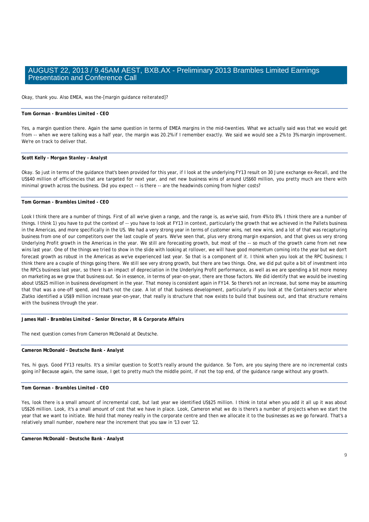Okay, thank you. Also EMEA, was the-[margin guidance reiterated]?

# **Tom Gorman** *- Brambles Limited - CEO*

Yes, a margin question there. Again the same question in terms of EMEA margins in the mid-twenties. What we actually said was that we would get from -- when we were talking was a half year, the margin was 20.2% if I remember exactly. We said we would see a 2% to 3% margin improvement. We're on track to deliver that.

#### **Scott Kelly** *- Morgan Stanley - Analyst*

Okay. So just in terms of the guidance that's been provided for this year, if I look at the underlying FY13 result on 30 June exchange ex-Recall, and the US\$40 million of efficiencies that are targeted for next year, and net new business wins of around US\$60 million, you pretty much are there with minimal growth across the business. Did you expect -- is there -- are the headwinds coming from higher costs?

# **Tom Gorman** *- Brambles Limited - CEO*

Look I think there are a number of things. First of all we've given a range, and the range is, as we've said, from 4% to 8%. I think there are a number of things. I think 1) you have to put the context of -- you have to look at FY13 in context, particularly the growth that we achieved in the Pallets business in the Americas, and more specifically in the US. We had a very strong year in terms of customer wins, net new wins, and a lot of that was recapturing business from one of our competitors over the last couple of years. We've seen that, plus very strong margin expansion, and that gives us very strong Underlying Profit growth in the Americas in the year. We still are forecasting growth, but most of the -- so much of the growth came from net new wins last year. One of the things we tried to show in the slide with looking at rollover, we will have good momentum coming into the year but we don't forecast growth as robust in the Americas as we've experienced last year. So that is a component of it. I think when you look at the RPC business; I think there are a couple of things going there. We still see very strong growth, but there are two things. One, we did put quite a bit of investment into the RPCs business last year, so there is an impact of depreciation in the Underlying Profit performance, as well as we are spending a bit more money on marketing as we grow that business out. So in essence, in terms of year-on-year, there are those factors. We did identify that we would be investing about US\$25 million in business development in the year. That money is consistent again in FY14. So there's not an increase, but some may be assuming that that was a one-off spend, and that's not the case. A lot of that business development, particularly if you look at the Containers sector where Zlatko identified a US\$9 million increase year-on-year, that really is structure that now exists to build that business out, and that structure remains with the business through the year.

**James Hall** *- Brambles Limited - Senior Director, IR & Corporate Affairs* 

The next question comes from Cameron McDonald at Deutsche.

# **Cameron McDonald** *- Deutsche Bank - Analyst*

Yes, hi guys. Good FY13 results. It's a similar question to Scott's really around the guidance. So Tom, are you saying there are no incremental costs going in? Because again, the same issue, I get to pretty much the middle point, if not the top end, of the guidance range without any growth.

#### **Tom Gorman** *- Brambles Limited - CEO*

Yes, look there is a small amount of incremental cost, but last year we identified US\$25 million. I think in total when you add it all up it was about US\$26 million. Look, it's a small amount of cost that we have in place. Look, Cameron what we do is there's a number of projects when we start the year that we want to initiate. We hold that money really in the corporate centre and then we allocate it to the businesses as we go forward. That's a relatively small number, nowhere near the increment that you saw in '13 over '12.

**Cameron McDonald** *- Deutsche Bank - Analyst*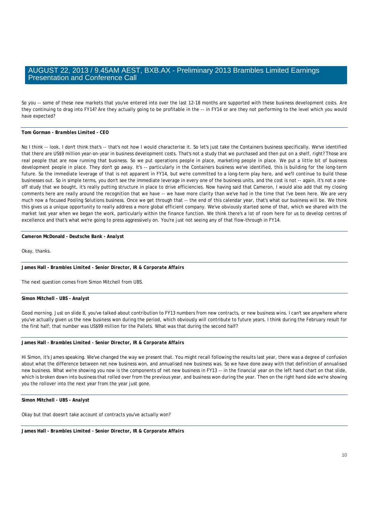So you -- some of these new markets that you've entered into over the last 12-18 months are supported with these business development costs. Are they continuing to drag into FY14? Are they actually going to be profitable in the -- in FY14 or are they not performing to the level which you would have expected?

# **Tom Gorman** *- Brambles Limited - CEO*

No I think -- look, I don't think that's -- that's not how I would characterise it. So let's just take the Containers business specifically. We've identified that there are US\$9 million year-on-year in business development costs. That's not a study that we purchased and then put on a shelf, right? Those are real people that are now running that business. So we put operations people in place, marketing people in place. We put a little bit of business development people in place. They don't go away. It's -- particularly in the Containers business we've identified, this is building for the long-term future. So the immediate leverage of that is not apparent in FY14, but we're committed to a long-term play here, and we'll continue to build those businesses out. So in simple terms, you don't see the immediate leverage in every one of the business units, and the cost is not -- again, it's not a oneoff study that we bought, it's really putting structure in place to drive efficiencies. Now having said that Cameron, I would also add that my closing comments here are really around the recognition that we have -- we have more clarity than we've had in the time that I've been here. We are very much now a focused Pooling Solutions business. Once we get through that -- the end of this calendar year, that's what our business will be. We think this gives us a unique opportunity to really address a more global efficient company. We've obviously started some of that, which we shared with the market last year when we began the work, particularly within the finance function. We think there's a lot of room here for us to develop centres of excellence and that's what we're going to press aggressively on. You're just not seeing any of that flow-through in FY14.

#### **Cameron McDonald** *- Deutsche Bank - Analyst*

Okay, thanks.

#### **James Hall** *- Brambles Limited - Senior Director, IR & Corporate Affairs*

The next question comes from Simon Mitchell from UBS.

#### **Simon Mitchell** *- UBS - Analyst*

Good morning. Just on slide 8, you've talked about contribution to FY13 numbers from new contracts, or new business wins. I can't see anywhere where you've actually given us the new business won during the period, which obviously will contribute to future years. I think during the February result for the first half; that number was US\$99 million for the Pallets. What was that during the second half?

# **James Hall** *- Brambles Limited - Senior Director, IR & Corporate Affairs*

Hi Simon, it's James speaking. We've changed the way we present that. You might recall following the results last year, there was a degree of confusion about what the difference between net new business won, and annualised new business was. So we have done away with that definition of annualised new business. What we're showing you now is the components of net new business in FY13 -- in the financial year on the left hand chart on that slide, which is broken down into business that rolled over from the previous year, and business won during the year. Then on the right hand side we're showing you the rollover into the next year from the year just gone.

**Simon Mitchell** *- UBS - Analyst* 

Okay but that doesn't take account of contracts you've actually won?

**James Hall** *- Brambles Limited - Senior Director, IR & Corporate Affairs*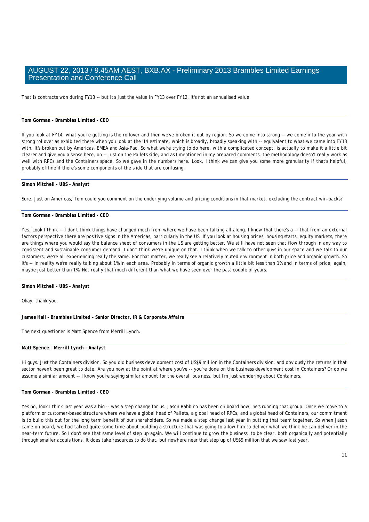That is contracts won during FY13 -- but it's just the value in FY13 over FY12, it's not an annualised value.

# **Tom Gorman** *- Brambles Limited - CEO*

If you look at FY14, what you're getting is the rollover and then we've broken it out by region. So we come into strong -- we come into the year with strong rollover as exhibited there when you look at the '14 estimate, which is broadly, broadly speaking with -- equivalent to what we came into FY13 with. It's broken out by Americas, EMEA and Asia-Pac. So what we're trying to do here, with a complicated concept, is actually to make it a little bit clearer and give you a sense here, on -- just on the Pallets side, and as I mentioned in my prepared comments, the methodology doesn't really work as well with RPCs and the Containers space. So we gave in the numbers here. Look, I think we can give you some more granularity if that's helpful, probably offline if there's some components of the slide that are confusing.

#### **Simon Mitchell** *- UBS - Analyst*

Sure. Just on Americas, Tom could you comment on the underlying volume and pricing conditions in that market, excluding the contract win-backs?

# **Tom Gorman** *- Brambles Limited - CEO*

Yes. Look I think -- I don't think things have changed much from where we have been talking all along. I know that there's a -- that from an external factors perspective there are positive signs in the Americas, particularly in the US. If you look at housing prices, housing starts, equity markets, there are things where you would say the balance sheet of consumers in the US are getting better. We still have not seen that flow through in any way to consistent and sustainable consumer demand. I don't think we're unique on that. I think when we talk to other guys in our space and we talk to our customers, we're all experiencing really the same. For that matter, we really see a relatively muted environment in both price and organic growth. So it's -- in reality we're really talking about 1% in each area. Probably in terms of organic growth a little bit less than 1% and in terms of price, again, maybe just better than 1%. Not really that much different than what we have seen over the past couple of years.

**Simon Mitchell** *- UBS - Analyst* 

Okay, thank you.

**James Hall** *- Brambles Limited - Senior Director, IR & Corporate Affairs* 

The next questioner is Matt Spence from Merrill Lynch.

#### **Matt Spence** *- Merrill Lynch - Analyst*

Hi guys. Just the Containers division. So you did business development cost of US\$9 million in the Containers division, and obviously the returns in that sector haven't been great to date. Are you now at the point at where you've -- you're done on the business development cost in Containers? Or do we assume a similar amount -- I know you're saying similar amount for the overall business, but I'm just wondering about Containers.

# **Tom Gorman** *- Brambles Limited - CEO*

Yes no, look I think last year was a big -- was a step change for us. Jason Rabbino has been on board now, he's running that group. Once we move to a platform or customer-based structure where we have a global head of Pallets, a global head of RPCs, and a global head of Containers, our commitment is to build this out for the long term benefit of our shareholders. So we made a step change last year in putting that team together. So when Jason came on board, we had talked quite some time about building a structure that was going to allow him to deliver what we think he can deliver in the near-term future. So I don't see that same level of step up again. We will continue to grow the business, to be clear, both organically and potentially through smaller acquisitions. It does take resources to do that, but nowhere near that step up of US\$9 million that we saw last year.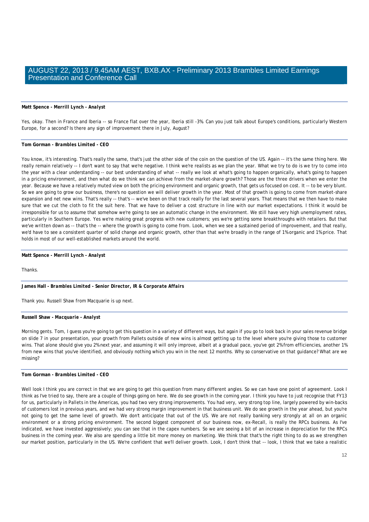#### **Matt Spence** *- Merrill Lynch - Analyst*

Yes, okay. Then in France and Iberia -- so France flat over the year, Iberia still -3%. Can you just talk about Europe's conditions, particularly Western Europe, for a second? Is there any sign of improvement there in July, August?

#### **Tom Gorman** *- Brambles Limited - CEO*

You know, it's interesting. That's really the same, that's just the other side of the coin on the question of the US. Again -- it's the same thing here. We really remain relatively -- I don't want to say that we're negative. I think we're realists as we plan the year. What we try to do is we try to come into the year with a clear understanding -- our best understanding of what -- really we look at what's going to happen organically, what's going to happen in a pricing environment, and then what do we think we can achieve from the market-share growth? Those are the three drivers when we enter the year. Because we have a relatively muted view on both the pricing environment and organic growth, that gets us focused on cost. It -- to be very blunt. So we are going to grow our business, there's no question we will deliver growth in the year. Most of that growth is going to come from market-share expansion and net new wins. That's really -- that's -- we've been on that track really for the last several years. That means that we then have to make sure that we cut the cloth to fit the suit here. That we have to deliver a cost structure in line with our market expectations. I think it would be irresponsible for us to assume that somehow we're going to see an automatic change in the environment. We still have very high unemployment rates, particularly in Southern Europe. Yes we're making great progress with new customers; yes we're getting some breakthroughs with retailers. But that we've written down as -- that's the -- where the growth is going to come from. Look, when we see a sustained period of improvement, and that really, we'd have to see a consistent quarter of solid change and organic growth, other than that we're broadly in the range of 1% organic and 1% price. That holds in most of our well-established markets around the world.

#### **Matt Spence** *- Merrill Lynch - Analyst*

Thanks.

**James Hall** *- Brambles Limited - Senior Director, IR & Corporate Affairs* 

Thank you. Russell Shaw from Macquarie is up next.

#### **Russell Shaw** *- Macquarie - Analyst*

Morning gents. Tom, I guess you're going to get this question in a variety of different ways, but again if you go to look back in your sales revenue bridge on slide 7 in your presentation, your growth from Pallets outside of new wins is almost getting up to the level where you're giving those to customer wins. That alone should give you 2% next year, and assuming it will only improve, albeit at a gradual pace, you've got 2% from efficiencies, another 1% from new wins that you've identified, and obviously nothing which you win in the next 12 months. Why so conservative on that guidance? What are we missing?

## **Tom Gorman** *- Brambles Limited - CEO*

Well look I think you are correct in that we are going to get this question from many different angles. So we can have one point of agreement. Look I think as I've tried to say, there are a couple of things going on here. We do see growth in the coming year. I think you have to just recognise that FY13 for us, particularly in Pallets in the Americas, you had two very strong improvements. You had very, very strong top line, largely powered by win-backs of customers lost in previous years, and we had very strong margin improvement in that business unit. We do see growth in the year ahead, but you're not going to get the same level of growth. We don't anticipate that out of the US. We are not really banking very strongly at all on an organic environment or a strong pricing environment. The second biggest component of our business now, ex-Recall, is really the RPCs business. As I've indicated, we have invested aggressively; you can see that in the capex numbers. So we are seeing a bit of an increase in depreciation for the RPCs business in the coming year. We also are spending a little bit more money on marketing. We think that that's the right thing to do as we strengthen our market position, particularly in the US. We're confident that we'll deliver growth. Look, I don't think that -- look, I think that we take a realistic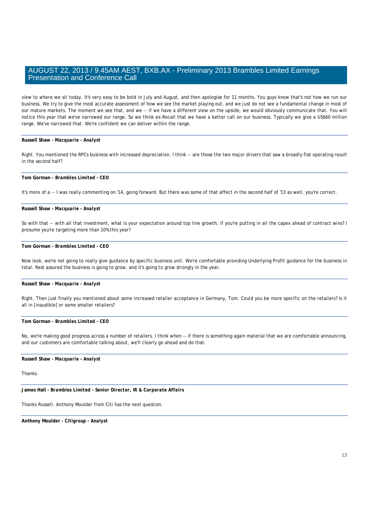view to where we sit today. It's very easy to be bold in July and August, and then apologise for 11 months. You guys know that's not how we run our business. We try to give the most accurate assessment of how we see the market playing out, and we just do not see a fundamental change in most of our mature markets. The moment we see that, and we -- if we have a different view on the upside, we would obviously communicate that. You will notice this year that we've narrowed our range. So we think ex-Recall that we have a better call on our business. Typically we give a US\$60 million range. We've narrowed that. We're confident we can deliver within the range.

## **Russell Shaw** *- Macquarie - Analyst*

Right. You mentioned the RPCs business with increased depreciation. I think -- are those the two major drivers that saw a broadly flat operating result in the second half?

## **Tom Gorman** *- Brambles Limited - CEO*

It's more of a -- I was really commenting on '14, going forward. But there was some of that affect in the second half of '13 as well, you're correct.

#### **Russell Shaw** *- Macquarie - Analyst*

So with that -- with all that investment, what is your expectation around top line growth, if you're putting in all the capex ahead of contract wins? I presume you're targeting more than 10% this year?

#### **Tom Gorman** *- Brambles Limited - CEO*

Now look, we're not going to really give guidance by specific business unit. We're comfortable providing Underlying Profit guidance for the business in total. Rest assured the business is going to grow, and it's going to grow strongly in the year.

# **Russell Shaw** *- Macquarie - Analyst*

Right. Then just finally you mentioned about some increased retailer acceptance in Germany, Tom. Could you be more specific on the retailers? Is it all in [inaudible] or some smaller retailers?

# **Tom Gorman** *- Brambles Limited - CEO*

No, we're making good progress across a number of retailers. I think when -- if there is something again material that we are comfortable announcing, and our customers are comfortable talking about, we'll clearly go ahead and do that.

## **Russell Shaw** *- Macquarie - Analyst*

# Thanks.

**James Hall** *- Brambles Limited - Senior Director, IR & Corporate Affairs* 

Thanks Russell. Anthony Moulder from Citi has the next question.

**Anthony Moulder** *- Citigroup - Analyst*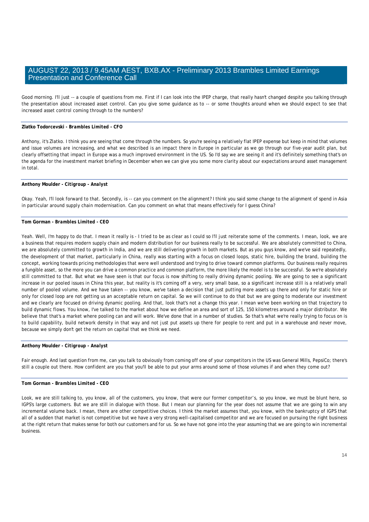Good morning. I'll just -- a couple of questions from me. First if I can look into the IPEP charge, that really hasn't changed despite you talking through the presentation about increased asset control. Can you give some guidance as to -- or some thoughts around when we should expect to see that increased asset control coming through to the numbers?

# **Zlatko Todorcevski** *- Brambles Limited - CFO*

Anthony, it's Zlatko. I think you are seeing that come through the numbers. So you're seeing a relatively flat IPEP expense but keep in mind that volumes and issue volumes are increasing, and what we described is an impact there in Europe in particular as we go through our five-year audit plan, but clearly offsetting that impact in Europe was a much improved environment in the US. So I'd say we are seeing it and it's definitely something that's on the agenda for the investment market briefing in December when we can give you some more clarity about our expectations around asset management in total.

## **Anthony Moulder** *- Citigroup - Analyst*

Okay. Yeah, I'll look forward to that. Secondly, is -- can you comment on the alignment? I think you said some change to the alignment of spend in Asia in particular around supply chain modernisation. Can you comment on what that means effectively for I guess China?

# **Tom Gorman** *- Brambles Limited - CEO*

Yeah. Well, I'm happy to do that. I mean it really is - I tried to be as clear as I could so I'll just reiterate some of the comments. I mean, look, we are a business that requires modern supply chain and modern distribution for our business really to be successful. We are absolutely committed to China, we are absolutely committed to growth in India, and we are still delivering growth in both markets. But as you guys know, and we've said repeatedly, the development of that market, particularly in China, really was starting with a focus on closed loops, static hire, building the brand, building the concept, working towards pricing methodologies that were well understood and trying to drive toward common platforms. Our business really requires a fungible asset, so the more you can drive a common practice and common platform, the more likely the model is to be successful. So we're absolutely still committed to that. But what we have seen is that our focus is now shifting to really driving dynamic pooling. We are going to see a significant increase in our pooled issues in China this year, but reality is it's coming off a very, very small base, so a significant increase still is a relatively small number of pooled volume. And we have taken -- you know, we've taken a decision that just putting more assets up there and only for static hire or only for closed loop are not getting us an acceptable return on capital. So we will continue to do that but we are going to moderate our investment and we clearly are focused on driving dynamic pooling. And that, look that's not a change this year. I mean we've been working on that trajectory to build dynamic flows. You know, I've talked to the market about how we define an area and sort of 125, 150 kilometres around a major distributor. We believe that that's a market where pooling can and will work. We've done that in a number of studies. So that's what we're really trying to focus on is to build capability, build network density in that way and not just put assets up there for people to rent and put in a warehouse and never move, because we simply don't get the return on capital that we think we need.

#### **Anthony Moulder** *- Citigroup - Analyst*

Fair enough. And last question from me, can you talk to obviously from coming off one of your competitors in the US was General Mills, PepsiCo; there's still a couple out there. How confident are you that you'll be able to put your arms around some of those volumes if and when they come out?

## **Tom Gorman** *- Brambles Limited - CEO*

Look, we are still talking to, you know, all of the customers, you know, that were our former competitor's, so you know, we must be blunt here, so IGPS's large customers. But we are still in dialogue with those. But I mean our planning for the year does not assume that we are going to win any incremental volume back. I mean, there are other competitive choices. I think the market assumes that, you know, with the bankruptcy of IGPS that all of a sudden that market is not competitive but we have a very strong well-capitalised competitor and we are focused on pursuing the right business at the right return that makes sense for both our customers and for us. So we have not gone into the year assuming that we are going to win incremental business.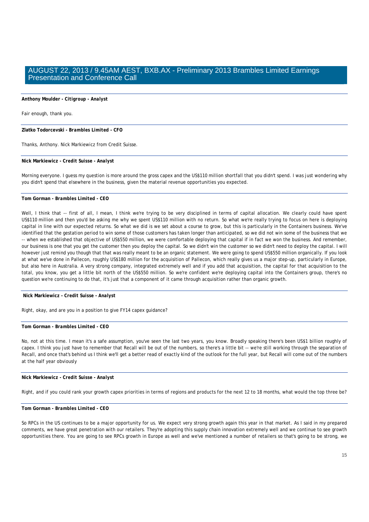## **Anthony Moulder** *- Citigroup - Analyst*

Fair enough, thank you.

**Zlatko Todorcevski** *- Brambles Limited - CFO* 

Thanks, Anthony. Nick Markiewicz from Credit Suisse.

**Nick Markiewicz** *- Credit Suisse - Analyst* 

Morning everyone. I guess my question is more around the gross capex and the US\$110 million shortfall that you didn't spend. I was just wondering why you didn't spend that elsewhere in the business, given the material revenue opportunities you expected.

## **Tom Gorman** *- Brambles Limited - CEO*

Well, I think that -- first of all, I mean, I think we're trying to be very disciplined in terms of capital allocation. We clearly could have spent US\$110 million and then you'd be asking me why we spent US\$110 million with no return. So what we're really trying to focus on here is deploying capital in line with our expected returns. So what we did is we set about a course to grow, but this is particularly in the Containers business. We've identified that the gestation period to win some of those customers has taken longer than anticipated, so we did not win some of the business that we -- when we established that objective of US\$550 million, we were comfortable deploying that capital if in fact we won the business. And remember, our business is one that you get the customer then you deploy the capital. So we didn't win the customer so we didn't need to deploy the capital. I will however just remind you though that that was really meant to be an organic statement. We were going to spend US\$550 million organically. If you look at what we've done in Pallecon, roughly US\$180 million for the acquisition of Pallecon, which really gives us a major step-up, particularly in Europe, but also here in Australia. A very strong company, integrated extremely well and if you add that acquisition, the capital for that acquisition to the total, you know, you get a little bit north of the US\$550 million. So we're confident we're deploying capital into the Containers group, there's no question we're continuing to do that, it's just that a component of it came through acquisition rather than organic growth.

 **Nick Markiewicz** *- Credit Suisse - Analyst* 

Right, okay, and are you in a position to give FY14 capex guidance?

**Tom Gorman** *- Brambles Limited - CEO* 

No, not at this time. I mean it's a safe assumption, you've seen the last two years, you know. Broadly speaking there's been US\$1 billion roughly of capex. I think you just have to remember that Recall will be out of the numbers, so there's a little bit -- we're still working through the separation of Recall, and once that's behind us I think we'll get a better read of exactly kind of the outlook for the full year, but Recall will come out of the numbers at the half year obviously

**Nick Markiewicz** *- Credit Suisse - Analyst* 

Right, and if you could rank your growth capex priorities in terms of regions and products for the next 12 to 18 months, what would the top three be?

#### **Tom Gorman** *- Brambles Limited - CEO*

So RPCs in the US continues to be a major opportunity for us. We expect very strong growth again this year in that market. As I said in my prepared comments, we have great penetration with our retailers. They're adopting this supply chain innovation extremely well and we continue to see growth opportunities there. You are going to see RPCs growth in Europe as well and we've mentioned a number of retailers so that's going to be strong, we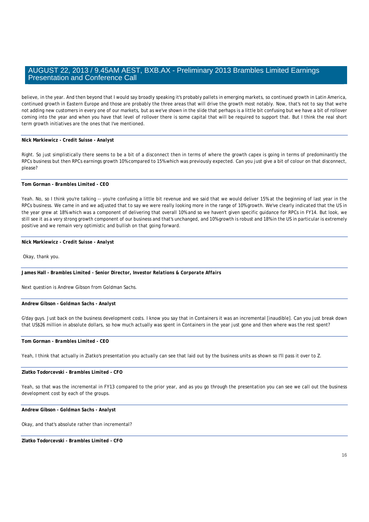believe, in the year. And then beyond that I would say broadly speaking it's probably pallets in emerging markets, so continued growth in Latin America, continued growth in Eastern Europe and those are probably the three areas that will drive the growth most notably. Now, that's not to say that we're not adding new customers in every one of our markets, but as we've shown in the slide that perhaps is a little bit confusing but we have a bit of rollover coming into the year and when you have that level of rollover there is some capital that will be required to support that. But I think the real short term growth initiatives are the ones that I've mentioned.

## **Nick Markiewicz** *- Credit Suisse - Analyst*

Right. So just simplistically there seems to be a bit of a disconnect then in terms of where the growth capex is going in terms of predominantly the RPCs business but then RPCs earnings growth 10% compared to 15% which was previously expected. Can you just give a bit of colour on that disconnect, please?

## **Tom Gorman** *- Brambles Limited - CEO*

Yeah. No, so I think you're talking -- you're confusing a little bit revenue and we said that we would deliver 15% at the beginning of last year in the RPCs business. We came in and we adjusted that to say we were really looking more in the range of 10% growth. We've clearly indicated that the US in the year grew at 18% which was a component of delivering that overall 10% and so we haven't given specific guidance for RPCs in FY14. But look, we still see it as a very strong growth component of our business and that's unchanged, and 10% growth is robust and 18% in the US in particular is extremely positive and we remain very optimistic and bullish on that going forward.

## **Nick Markiewicz** *- Credit Suisse - Analyst*

Okay, thank you.

**James Hall** *- Brambles Limited - Senior Director, Investor Relations & Corporate Affairs* 

Next question is Andrew Gibson from Goldman Sachs.

#### **Andrew Gibson** *- Goldman Sachs - Analyst*

G'day guys. Just back on the business development costs. I know you say that in Containers it was an incremental [inaudible]. Can you just break down that US\$26 million in absolute dollars, so how much actually was spent in Containers in the year just gone and then where was the rest spent?

# **Tom Gorman** *- Brambles Limited - CEO*

Yeah, I think that actually in Zlatko's presentation you actually can see that laid out by the business units as shown so I'll pass it over to Z.

## **Zlatko Todorcevski** *- Brambles Limited - CFO*

Yeah, so that was the incremental in FY13 compared to the prior year, and as you go through the presentation you can see we call out the business development cost by each of the groups.

**Andrew Gibson** *- Goldman Sachs - Analyst* 

Okay, and that's absolute rather than incremental?

**Zlatko Todorcevski** *- Brambles Limited - CFO*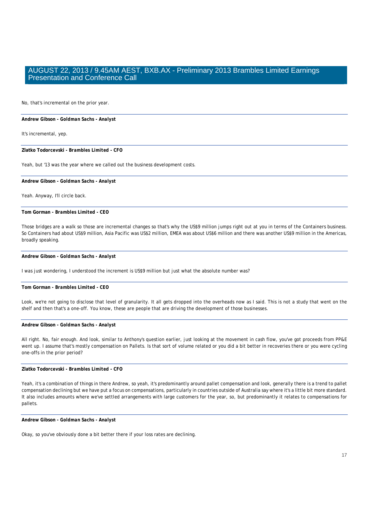No, that's incremental on the prior year.

#### **Andrew Gibson** *- Goldman Sachs - Analyst*

It's incremental, yep.

**Zlatko Todorcevski** *- Brambles Limited - CFO* 

Yeah, but '13 was the year where we called out the business development costs.

**Andrew Gibson** *- Goldman Sachs - Analyst* 

Yeah. Anyway, I'll circle back.

**Tom Gorman** *- Brambles Limited - CEO* 

Those bridges are a walk so those are incremental changes so that's why the US\$9 million jumps right out at you in terms of the Containers business. So Containers had about US\$9 million, Asia Pacific was US\$2 million, EMEA was about US\$6 million and there was another US\$9 million in the Americas, broadly speaking.

# **Andrew Gibson** *- Goldman Sachs - Analyst*

I was just wondering, I understood the increment is US\$9 million but just what the absolute number was?

# **Tom Gorman** *- Brambles Limited - CEO*

Look, we're not going to disclose that level of granularity. It all gets dropped into the overheads now as I said. This is not a study that went on the shelf and then that's a one-off. You know, these are people that are driving the development of those businesses.

#### **Andrew Gibson** *- Goldman Sachs - Analyst*

All right. No, fair enough. And look, similar to Anthony's question earlier, just looking at the movement in cash flow, you've got proceeds from PP&E went up. I assume that's mostly compensation on Pallets. Is that sort of volume related or you did a bit better in recoveries there or you were cycling one-offs in the prior period?

# **Zlatko Todorcevski** *- Brambles Limited - CFO*

Yeah, it's a combination of things in there Andrew, so yeah, it's predominantly around pallet compensation and look, generally there is a trend to pallet compensation declining but we have put a focus on compensations, particularly in countries outside of Australia say where it's a little bit more standard. It also includes amounts where we've settled arrangements with large customers for the year, so, but predominantly it relates to compensations for pallets.

**Andrew Gibson** *- Goldman Sachs - Analyst* 

Okay, so you've obviously done a bit better there if your loss rates are declining.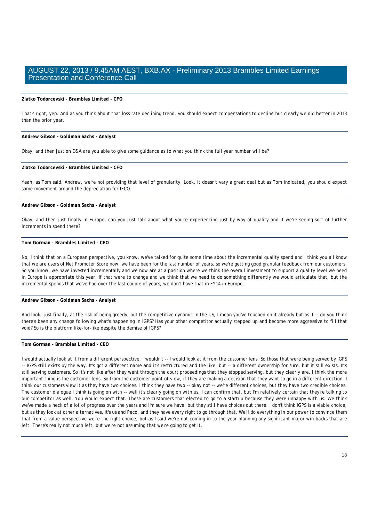## **Zlatko Todorcevski** *- Brambles Limited - CFO*

That's right, yep. And as you think about that loss rate declining trend, you should expect compensations to decline but clearly we did better in 2013 than the prior year.

#### **Andrew Gibson** *- Goldman Sachs - Analyst*

Okay, and then just on D&A are you able to give some guidance as to what you think the full year number will be?

# **Zlatko Todorcevski** *- Brambles Limited - CFO*

Yeah, as Tom said, Andrew, we're not providing that level of granularity. Look, it doesn't vary a great deal but as Tom indicated, you should expect some movement around the depreciation for IFCO.

#### **Andrew Gibson** *- Goldman Sachs - Analyst*

Okay, and then just finally in Europe, can you just talk about what you're experiencing just by way of quality and if we're seeing sort of further increments in spend there?

# **Tom Gorman** *- Brambles Limited - CEO*

No, I think that on a European perspective, you know, we've talked for quite some time about the incremental quality spend and I think you all know that we are users of Net Promoter Score now, we have been for the last number of years, so we're getting good granular feedback from our customers. So you know, we have invested incrementally and we now are at a position where we think the overall investment to support a quality level we need in Europe is appropriate this year. If that were to change and we think that we need to do something differently we would articulate that, but the incremental spends that we've had over the last couple of years, we don't have that in FY14 in Europe.

#### **Andrew Gibson** *- Goldman Sachs - Analyst*

And look, just finally, at the risk of being greedy, but the competitive dynamic in the US, I mean you've touched on it already but as it -- do you think there's been any change following what's happening in IGPS? Has your other competitor actually stepped up and become more aggressive to fill that void? So is the platform like-for-like despite the demise of IGPS?

# **Tom Gorman** *- Brambles Limited - CEO*

I would actually look at it from a different perspective. I wouldn't -- I would look at it from the customer lens. So those that were being served by IGPS -- IGPS still exists by the way. It's got a different name and it's restructured and the like, but -- a different ownership for sure, but it still exists. It's still serving customers. So it's not like after they went through the court proceedings that they stopped serving, but they clearly are. I think the more important thing is the customer lens. So from the customer point of view, if they are making a decision that they want to go in a different direction, I think our customers view it as they have two choices. I think they have two -- okay not -- we're different choices, but they have two credible choices. The customer dialogue I think is going on with -- well it's clearly going on with us, I can confirm that, but I'm relatively certain that they're talking to our competitor as well. You would expect that. These are customers that elected to go to a startup because they were unhappy with us. We think we've made a heck of a lot of progress over the years and I'm sure we have, but they still have choices out there. I don't think IGPS is a viable choice, but as they look at other alternatives, it's us and Peco, and they have every right to go through that. We'll do everything in our power to convince them that from a value perspective we're the right choice, but as I said we're not coming in to the year planning any significant major win-backs that are left. There's really not much left, but we're not assuming that we're going to get it.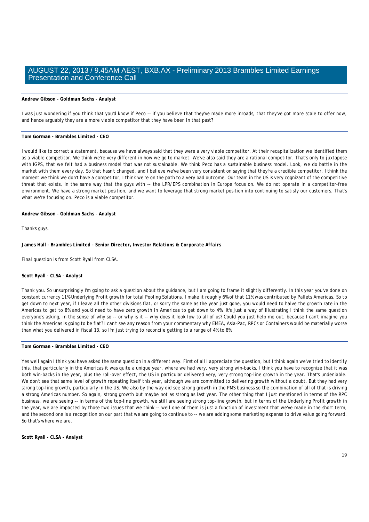# **Andrew Gibson** *- Goldman Sachs - Analyst*

I was just wondering if you think that you'd know if Peco -- if you believe that they've made more inroads, that they've got more scale to offer now, and hence arguably they are a more viable competitor that they have been in that past?

## **Tom Gorman** *- Brambles Limited - CEO*

I would like to correct a statement, because we have always said that they were a very viable competitor. At their recapitalization we identified them as a viable competitor. We think we're very different in how we go to market. We've also said they are a rational competitor. That's only to juxtapose with IGPS, that we felt had a business model that was not sustainable. We think Peco has a sustainable business model. Look, we do battle in the market with them every day. So that hasn't changed, and I believe we've been very consistent on saying that they're a credible competitor. I think the moment we think we don't have a competitor, I think we're on the path to a very bad outcome. Our team in the US is very cognizant of the competitive threat that exists, in the same way that the guys with -- the LPR/EPS combination in Europe focus on. We do not operate in a competitor-free environment. We have a strong market position, and we want to leverage that strong market position into continuing to satisfy our customers. That's what we're focusing on. Peco is a viable competitor.

**Andrew Gibson** *- Goldman Sachs - Analyst* 

Thanks guys.

**James Hall** *- Brambles Limited - Senior Director, Investor Relations & Corporate Affairs* 

Final question is from Scott Ryall from CLSA.

#### **Scott Ryall** *- CLSA - Analyst*

Thank you. So unsurprisingly I'm going to ask a question about the guidance, but I am going to frame it slightly differently. In this year you've done on constant currency 11% Underlying Profit growth for total Pooling Solutions. I make it roughly 6% of that 11% was contributed by Pallets Americas. So to get down to next year, if I leave all the other divisions flat, or sorry the same as the year just gone, you would need to halve the growth rate in the Americas to get to 8% and you'd need to have zero growth in Americas to get down to 4%. It's just a way of illustrating I think the same question everyone's asking, in the sense of why so -- or why is it -- why does it look low to all of us? Could you just help me out, because I can't imagine you think the Americas is going to be flat? I can't see any reason from your commentary why EMEA, Asia-Pac, RPCs or Containers would be materially worse than what you delivered in fiscal 13, so I'm just trying to reconcile getting to a range of 4% to 8%.

## **Tom Gorman** *- Brambles Limited - CEO*

Yes well again I think you have asked the same question in a different way. First of all I appreciate the question, but I think again we've tried to identify this, that particularly in the Americas it was quite a unique year, where we had very, very strong win-backs. I think you have to recognize that it was both win-backs in the year, plus the roll-over effect, the US in particular delivered very, very strong top-line growth in the year. That's undeniable. We don't see that same level of growth repeating itself this year, although we are committed to delivering growth without a doubt. But they had very strong top-line growth, particularly in the US. We also by the way did see strong growth in the PMS business so the combination of all of that is driving a strong Americas number. So again, strong growth but maybe not as strong as last year. The other thing that I just mentioned in terms of the RPC business, we are seeing -- in terms of the top-line growth, we still are seeing strong top-line growth, but in terms of the Underlying Profit growth in the year, we are impacted by those two issues that we think -- well one of them is just a function of investment that we've made in the short term, and the second one is a recognition on our part that we are going to continue to -- we are adding some marketing expense to drive value going forward. So that's where we are.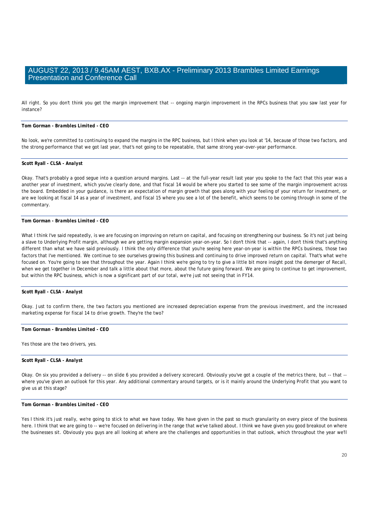All right. So you don't think you get the margin improvement that -- ongoing margin improvement in the RPCs business that you saw last year for instance?

# **Tom Gorman** *- Brambles Limited - CEO*

No look, we're committed to continuing to expand the margins in the RPC business, but I think when you look at '14, because of those two factors, and the strong performance that we got last year, that's not going to be repeatable, that same strong year-over-year performance.

## **Scott Ryall** *- CLSA - Analyst*

Okay. That's probably a good segue into a question around margins. Last -- at the full-year result last year you spoke to the fact that this year was a another year of investment, which you've clearly done, and that fiscal 14 would be where you started to see some of the margin improvement across the board. Embedded in your guidance, is there an expectation of margin growth that goes along with your feeling of your return for investment, or are we looking at fiscal 14 as a year of investment, and fiscal 15 where you see a lot of the benefit, which seems to be coming through in some of the commentary.

# **Tom Gorman** *- Brambles Limited - CEO*

What I think I've said repeatedly, is we are focusing on improving on return on capital, and focusing on strengthening our business. So it's not just being a slave to Underlying Profit margin, although we are getting margin expansion year-on-year. So I don't think that -- again, I don't think that's anything different than what we have said previously. I think the only difference that you're seeing here year-on-year is within the RPCs business, those two factors that I've mentioned. We continue to see ourselves growing this business and continuing to drive improved return on capital. That's what we're focused on. You're going to see that throughout the year. Again I think we're going to try to give a little bit more insight post the demerger of Recall, when we get together in December and talk a little about that more, about the future going forward. We are going to continue to get improvement, but within the RPC business, which is now a significant part of our total, we're just not seeing that in FY14.

#### **Scott Ryall** *- CLSA - Analyst*

Okay. Just to confirm there, the two factors you mentioned are increased depreciation expense from the previous investment, and the increased marketing expense for fiscal 14 to drive growth. They're the two?

# **Tom Gorman** *- Brambles Limited - CEO*

Yes those are the two drivers, yes.

# **Scott Ryall** *- CLSA - Analyst*

Okay. On six you provided a delivery -- on slide 6 you provided a delivery scorecard. Obviously you've got a couple of the metrics there, but -- that - where you've given an outlook for this year. Any additional commentary around targets, or is it mainly around the Underlying Profit that you want to give us at this stage?

# **Tom Gorman** *- Brambles Limited - CEO*

Yes I think it's just really, we're going to stick to what we have today. We have given in the past so much granularity on every piece of the business here. I think that we are going to -- we're focused on delivering in the range that we've talked about. I think we have given you good breakout on where the businesses sit. Obviously you guys are all looking at where are the challenges and opportunities in that outlook, which throughout the year we'll